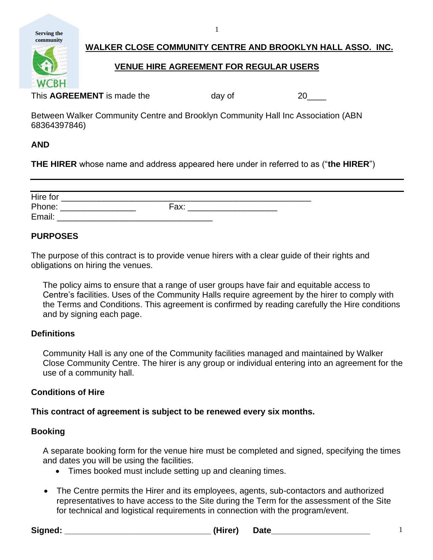**Serving the community**

WCRH

# **WALKER CLOSE COMMUNITY CENTRE AND BROOKLYN HALL ASSO. INC.**

## **VENUE HIRE AGREEMENT FOR REGULAR USERS**

1

This **AGREEMENT** is made the day of 20

Between Walker Community Centre and Brooklyn Community Hall Inc Association (ABN 68364397846)

## **AND**

**THE HIRER** whose name and address appeared here under in referred to as ("**the HIRER**")

| Hire for |      |  |
|----------|------|--|
| Phone:   | Fax: |  |
| Email:   |      |  |

## **PURPOSES**

The purpose of this contract is to provide venue hirers with a clear guide of their rights and obligations on hiring the venues.

The policy aims to ensure that a range of user groups have fair and equitable access to Centre's facilities. Uses of the Community Halls require agreement by the hirer to comply with the Terms and Conditions. This agreement is confirmed by reading carefully the Hire conditions and by signing each page.

## **Definitions**

Community Hall is any one of the Community facilities managed and maintained by Walker Close Community Centre. The hirer is any group or individual entering into an agreement for the use of a community hall.

## **Conditions of Hire**

**This contract of agreement is subject to be renewed every six months.**

## **Booking**

A separate booking form for the venue hire must be completed and signed, specifying the times and dates you will be using the facilities.

- Times booked must include setting up and cleaning times.
- The Centre permits the Hirer and its employees, agents, sub-contactors and authorized representatives to have access to the Site during the Term for the assessment of the Site for technical and logistical requirements in connection with the program/event.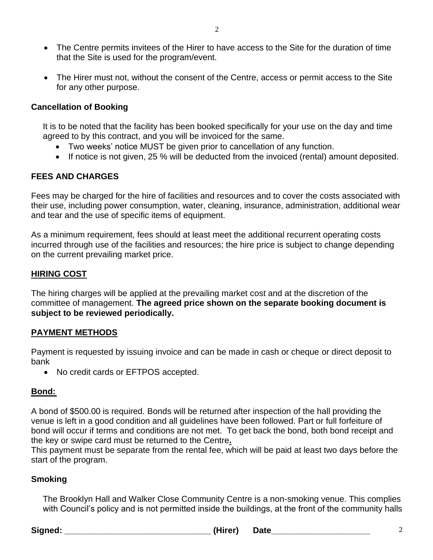• The Centre permits invitees of the Hirer to have access to the Site for the duration of time that the Site is used for the program/event.

2

• The Hirer must not, without the consent of the Centre, access or permit access to the Site for any other purpose.

## **Cancellation of Booking**

It is to be noted that the facility has been booked specifically for your use on the day and time agreed to by this contract, and you will be invoiced for the same.

- Two weeks' notice MUST be given prior to cancellation of any function.
- If notice is not given, 25 % will be deducted from the invoiced (rental) amount deposited.

## **FEES AND CHARGES**

Fees may be charged for the hire of facilities and resources and to cover the costs associated with their use, including power consumption, water, cleaning, insurance, administration, additional wear and tear and the use of specific items of equipment.

As a minimum requirement, fees should at least meet the additional recurrent operating costs incurred through use of the facilities and resources; the hire price is subject to change depending on the current prevailing market price.

## **HIRING COST**

The hiring charges will be applied at the prevailing market cost and at the discretion of the committee of management. **The agreed price shown on the separate booking document is subject to be reviewed periodically.** 

## **PAYMENT METHODS**

Payment is requested by issuing invoice and can be made in cash or cheque or direct deposit to bank

• No credit cards or EFTPOS accepted.

## **Bond:**

A bond of \$500.00 is required. Bonds will be returned after inspection of the hall providing the venue is left in a good condition and all guidelines have been followed. Part or full forfeiture of bond will occur if terms and conditions are not met. To get back the bond, both bond receipt and the key or swipe card must be returned to the Centre**.**

This payment must be separate from the rental fee, which will be paid at least two days before the start of the program.

## **Smoking**

The Brooklyn Hall and Walker Close Community Centre is a non-smoking venue. This complies with Council's policy and is not permitted inside the buildings, at the front of the community halls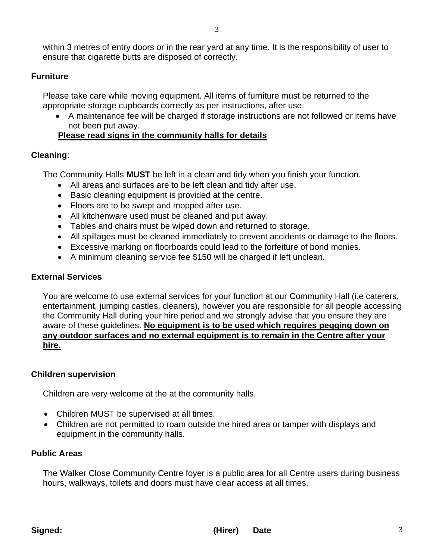within 3 metres of entry doors or in the rear yard at any time. It is the responsibility of user to ensure that cigarette butts are disposed of correctly.

#### **Furniture**

Please take care while moving equipment. All items of furniture must be returned to the appropriate storage cupboards correctly as per instructions, after use.

• A maintenance fee will be charged if storage instructions are not followed or items have not been put away.

## **Please read signs in the community halls for details**

## **Cleaning**:

The Community Halls **MUST** be left in a clean and tidy when you finish your function.

- All areas and surfaces are to be left clean and tidy after use.
- Basic cleaning equipment is provided at the centre.
- Floors are to be swept and mopped after use.
- All kitchenware used must be cleaned and put away.
- Tables and chairs must be wiped down and returned to storage.
- All spillages must be cleaned immediately to prevent accidents or damage to the floors.
- Excessive marking on floorboards could lead to the forfeiture of bond monies.
- A minimum cleaning service fee \$150 will be charged if left unclean.

## **External Services**

You are welcome to use external services for your function at our Community Hall (i.e caterers, entertainment, jumping castles, cleaners), however you are responsible for all people accessing the Community Hall during your hire period and we strongly advise that you ensure they are aware of these guidelines. **No equipment is to be used which requires pegging down on any outdoor surfaces and no external equipment is to remain in the Centre after your hire.** 

## **Children supervision**

Children are very welcome at the at the community halls.

- Children MUST be supervised at all times.
- Children are not permitted to roam outside the hired area or tamper with displays and equipment in the community halls.

## **Public Areas**

The Walker Close Community Centre foyer is a public area for all Centre users during business hours, walkways, toilets and doors must have clear access at all times.

**Signed: \_\_\_\_\_\_\_\_\_\_\_\_\_\_\_\_\_\_\_\_\_\_\_\_\_\_\_\_\_\_\_ (Hirer) Date\_\_\_\_\_\_\_\_\_\_\_\_\_\_\_\_\_\_\_\_\_** 3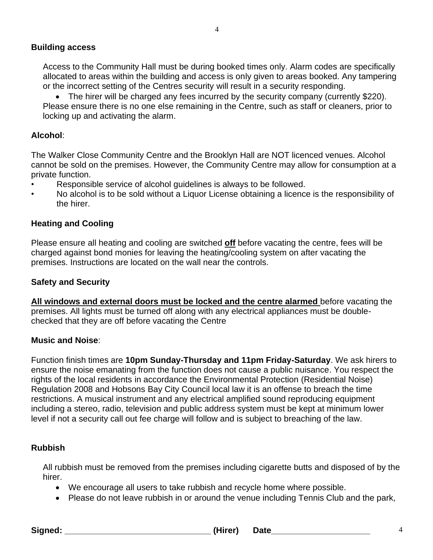Access to the Community Hall must be during booked times only. Alarm codes are specifically allocated to areas within the building and access is only given to areas booked. Any tampering or the incorrect setting of the Centres security will result in a security responding.

4

• The hirer will be charged any fees incurred by the security company (currently \$220). Please ensure there is no one else remaining in the Centre, such as staff or cleaners, prior to locking up and activating the alarm.

## **Alcohol**:

The Walker Close Community Centre and the Brooklyn Hall are NOT licenced venues. Alcohol cannot be sold on the premises. However, the Community Centre may allow for consumption at a private function.

- Responsible service of alcohol guidelines is always to be followed.
- No alcohol is to be sold without a Liquor License obtaining a licence is the responsibility of the hirer.

## **Heating and Cooling**

Please ensure all heating and cooling are switched **off** before vacating the centre, fees will be charged against bond monies for leaving the heating/cooling system on after vacating the premises. Instructions are located on the wall near the controls.

## **Safety and Security**

**All windows and external doors must be locked and the centre alarmed** before vacating the premises. All lights must be turned off along with any electrical appliances must be doublechecked that they are off before vacating the Centre

## **Music and Noise**:

Function finish times are **10pm Sunday-Thursday and 11pm Friday-Saturday**. We ask hirers to ensure the noise emanating from the function does not cause a public nuisance. You respect the rights of the local residents in accordance the Environmental Protection (Residential Noise) Regulation 2008 and Hobsons Bay City Council local law it is an offense to breach the time restrictions. A musical instrument and any electrical amplified sound reproducing equipment including a stereo, radio, television and public address system must be kept at minimum lower level if not a security call out fee charge will follow and is subject to breaching of the law.

## **Rubbish**

All rubbish must be removed from the premises including cigarette butts and disposed of by the hirer.

- We encourage all users to take rubbish and recycle home where possible.
- Please do not leave rubbish in or around the venue including Tennis Club and the park,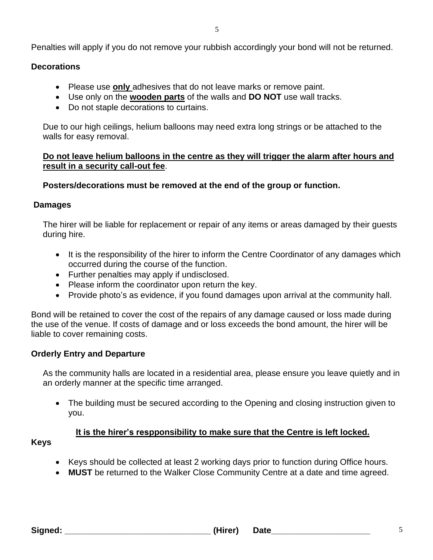Penalties will apply if you do not remove your rubbish accordingly your bond will not be returned.

## **Decorations**

- Please use **only** adhesives that do not leave marks or remove paint.
- Use only on the **wooden parts** of the walls and **DO NOT** use wall tracks.
- Do not staple decorations to curtains.

Due to our high ceilings, helium balloons may need extra long strings or be attached to the walls for easy removal.

## **Do not leave helium balloons in the centre as they will trigger the alarm after hours and result in a security call-out fee**.

## **Posters/decorations must be removed at the end of the group or function.**

## **Damages**

The hirer will be liable for replacement or repair of any items or areas damaged by their guests during hire.

- It is the responsibility of the hirer to inform the Centre Coordinator of any damages which occurred during the course of the function.
- Further penalties may apply if undisclosed.
- Please inform the coordinator upon return the key.
- Provide photo's as evidence, if you found damages upon arrival at the community hall.

Bond will be retained to cover the cost of the repairs of any damage caused or loss made during the use of the venue. If costs of damage and or loss exceeds the bond amount, the hirer will be liable to cover remaining costs.

## **Orderly Entry and Departure**

As the community halls are located in a residential area, please ensure you leave quietly and in an orderly manner at the specific time arranged.

• The building must be secured according to the Opening and closing instruction given to you.

## **It is the hirer's respponsibility to make sure that the Centre is left locked. Keys**

- Keys should be collected at least 2 working days prior to function during Office hours.
- **MUST** be returned to the Walker Close Community Centre at a date and time agreed.